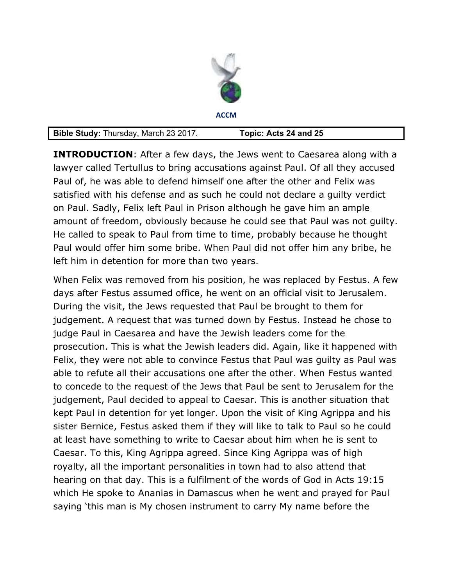| A | <b>CCM</b> |  |
|---|------------|--|

| <b>Bible Study: Thursday, March 23 2017.</b> | Topic: Acts 24 and 25 |
|----------------------------------------------|-----------------------|
|----------------------------------------------|-----------------------|

**INTRODUCTION**: After a few days, the Jews went to Caesarea along with a lawyer called Tertullus to bring accusations against Paul. Of all they accused Paul of, he was able to defend himself one after the other and Felix was satisfied with his defense and as such he could not declare a guilty verdict on Paul. Sadly, Felix left Paul in Prison although he gave him an ample amount of freedom, obviously because he could see that Paul was not guilty. He called to speak to Paul from time to time, probably because he thought Paul would offer him some bribe. When Paul did not offer him any bribe, he left him in detention for more than two years.

When Felix was removed from his position, he was replaced by Festus. A few days after Festus assumed office, he went on an official visit to Jerusalem. During the visit, the Jews requested that Paul be brought to them for judgement. A request that was turned down by Festus. Instead he chose to judge Paul in Caesarea and have the Jewish leaders come for the prosecution. This is what the Jewish leaders did. Again, like it happened with Felix, they were not able to convince Festus that Paul was guilty as Paul was able to refute all their accusations one after the other. When Festus wanted to concede to the request of the Jews that Paul be sent to Jerusalem for the judgement, Paul decided to appeal to Caesar. This is another situation that kept Paul in detention for yet longer. Upon the visit of King Agrippa and his sister Bernice, Festus asked them if they will like to talk to Paul so he could at least have something to write to Caesar about him when he is sent to Caesar. To this, King Agrippa agreed. Since King Agrippa was of high royalty, all the important personalities in town had to also attend that hearing on that day. This is a fulfilment of the words of God in Acts 19:15 which He spoke to Ananias in Damascus when he went and prayed for Paul saying 'this man is My chosen instrument to carry My name before the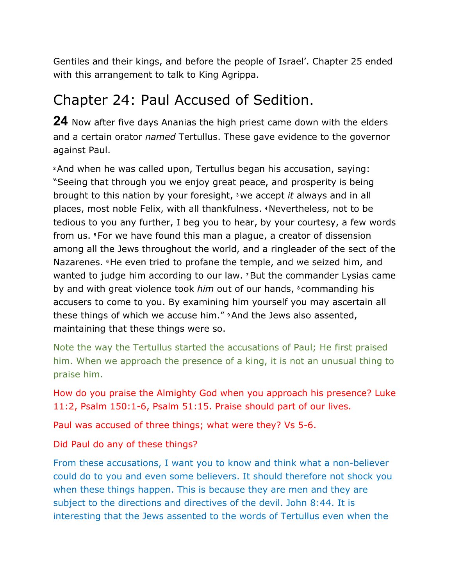Gentiles and their kings, and before the people of Israel'. Chapter 25 ended with this arrangement to talk to King Agrippa.

### Chapter 24: Paul Accused of Sedition.

**24** Now after five days Ananias the high priest came down with the elders and a certain orator *named* Tertullus. These gave evidence to the governor against Paul.

**<sup>2</sup>**And when he was called upon, Tertullus began his accusation, saying: "Seeing that through you we enjoy great peace, and prosperity is being brought to this nation by your foresight, **3** we accept *it* always and in all places, most noble Felix, with all thankfulness. **4** Nevertheless, not to be tedious to you any further, I beg you to hear, by your courtesy, a few words from us. **5** For we have found this man a plague, a creator of dissension among all the Jews throughout the world, and a ringleader of the sect of the Nazarenes. **6** He even tried to profane the temple, and we seized him, and wanted to judge him according to our law. **7** But the commander Lysias came by and with great violence took *him* out of our hands, **8** commanding his accusers to come to you. By examining him yourself you may ascertain all these things of which we accuse him." **9** And the Jews also assented, maintaining that these things were so.

Note the way the Tertullus started the accusations of Paul; He first praised him. When we approach the presence of a king, it is not an unusual thing to praise him.

How do you praise the Almighty God when you approach his presence? Luke 11:2, Psalm 150:1-6, Psalm 51:15. Praise should part of our lives.

Paul was accused of three things; what were they? Vs 5-6.

Did Paul do any of these things?

From these accusations, I want you to know and think what a non-believer could do to you and even some believers. It should therefore not shock you when these things happen. This is because they are men and they are subject to the directions and directives of the devil. John 8:44. It is interesting that the Jews assented to the words of Tertullus even when the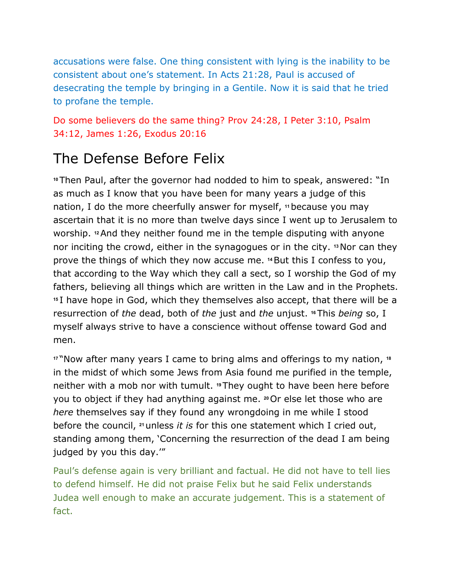accusations were false. One thing consistent with lying is the inability to be consistent about one's statement. In Acts 21:28, Paul is accused of desecrating the temple by bringing in a Gentile. Now it is said that he tried to profane the temple.

Do some believers do the same thing? Prov 24:28, I Peter 3:10, Psalm 34:12, James 1:26, Exodus 20:16

# The Defense Before Felix

**<sup>10</sup>**Then Paul, after the governor had nodded to him to speak, answered: "In as much as I know that you have been for many years a judge of this nation, I do the more cheerfully answer for myself, **11** because you may ascertain that it is no more than twelve days since I went up to Jerusalem to worship. **12** And they neither found me in the temple disputing with anyone nor inciting the crowd, either in the synagogues or in the city. **13** Nor can they prove the things of which they now accuse me. **14** But this I confess to you, that according to the Way which they call a sect, so I worship the God of my fathers, believing all things which are written in the Law and in the Prophets. **<sup>15</sup>**I have hope in God, which they themselves also accept, that there will be a resurrection of *the* dead, both of *the* just and *the* unjust. **16** This *being* so, I myself always strive to have a conscience without offense toward God and men.

**<sup>17</sup>**"Now after many years I came to bring alms and offerings to my nation, **<sup>18</sup>** in the midst of which some Jews from Asia found me purified in the temple, neither with a mob nor with tumult. **19** They ought to have been here before you to object if they had anything against me. **20** Or else let those who are *here* themselves say if they found any wrongdoing in me while I stood before the council, **21** unless *it is* for this one statement which I cried out, standing among them, 'Concerning the resurrection of the dead I am being judged by you this day.'"

Paul's defense again is very brilliant and factual. He did not have to tell lies to defend himself. He did not praise Felix but he said Felix understands Judea well enough to make an accurate judgement. This is a statement of fact.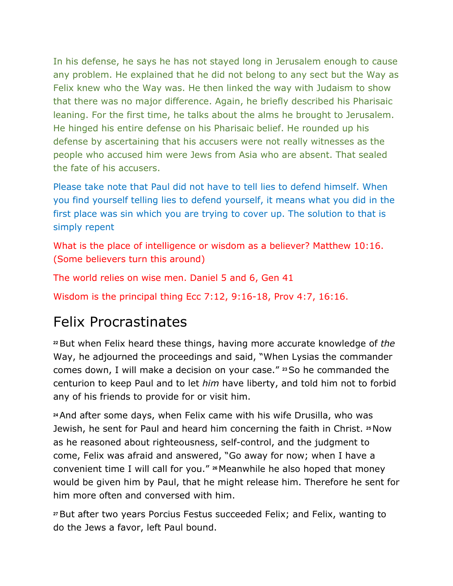In his defense, he says he has not stayed long in Jerusalem enough to cause any problem. He explained that he did not belong to any sect but the Way as Felix knew who the Way was. He then linked the way with Judaism to show that there was no major difference. Again, he briefly described his Pharisaic leaning. For the first time, he talks about the alms he brought to Jerusalem. He hinged his entire defense on his Pharisaic belief. He rounded up his defense by ascertaining that his accusers were not really witnesses as the people who accused him were Jews from Asia who are absent. That sealed the fate of his accusers.

Please take note that Paul did not have to tell lies to defend himself. When you find yourself telling lies to defend yourself, it means what you did in the first place was sin which you are trying to cover up. The solution to that is simply repent

What is the place of intelligence or wisdom as a believer? Matthew 10:16. (Some believers turn this around)

The world relies on wise men. Daniel 5 and 6, Gen 41

Wisdom is the principal thing Ecc 7:12, 9:16-18, Prov 4:7, 16:16.

## Felix Procrastinates

**<sup>22</sup>**But when Felix heard these things, having more accurate knowledge of *the* Way, he adjourned the proceedings and said, "When Lysias the commander comes down, I will make a decision on your case." **23** So he commanded the centurion to keep Paul and to let *him* have liberty, and told him not to forbid any of his friends to provide for or visit him.

**<sup>24</sup>**And after some days, when Felix came with his wife Drusilla, who was Jewish, he sent for Paul and heard him concerning the faith in Christ. **25** Now as he reasoned about righteousness, self-control, and the judgment to come, Felix was afraid and answered, "Go away for now; when I have a convenient time I will call for you." **26** Meanwhile he also hoped that money would be given him by Paul, that he might release him. Therefore he sent for him more often and conversed with him.

**<sup>27</sup>**But after two years Porcius Festus succeeded Felix; and Felix, wanting to do the Jews a favor, left Paul bound.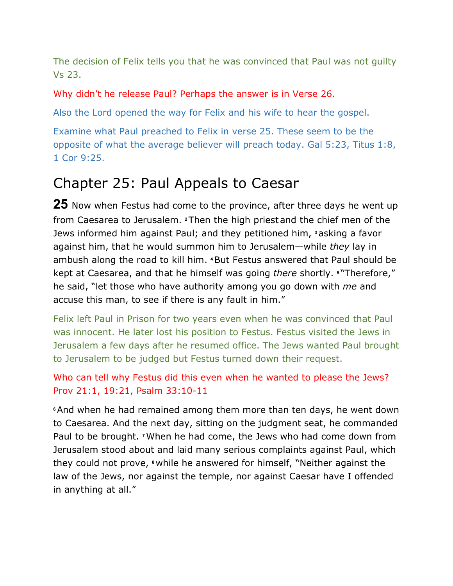The decision of Felix tells you that he was convinced that Paul was not guilty Vs 23.

#### Why didn't he release Paul? Perhaps the answer is in Verse 26.

Also the Lord opened the way for Felix and his wife to hear the gospel.

Examine what Paul preached to Felix in verse 25. These seem to be the opposite of what the average believer will preach today. Gal 5:23, Titus 1:8, 1 Cor 9:25.

### Chapter 25: Paul Appeals to Caesar

**25** Now when Festus had come to the province, after three days he went up from Caesarea to Jerusalem. **2** Then the high priestand the chief men of the Jews informed him against Paul; and they petitioned him, **3** asking a favor against him, that he would summon him to Jerusalem—while *they* lay in ambush along the road to kill him. **4** But Festus answered that Paul should be kept at Caesarea, and that he himself was going *there* shortly. **5** "Therefore," he said, "let those who have authority among you go down with *me* and accuse this man, to see if there is any fault in him."

Felix left Paul in Prison for two years even when he was convinced that Paul was innocent. He later lost his position to Festus. Festus visited the Jews in Jerusalem a few days after he resumed office. The Jews wanted Paul brought to Jerusalem to be judged but Festus turned down their request.

### Who can tell why Festus did this even when he wanted to please the Jews? Prov 21:1, 19:21, Psalm 33:10-11

**<sup>6</sup>**And when he had remained among them more than ten days, he went down to Caesarea. And the next day, sitting on the judgment seat, he commanded Paul to be brought. **7** When he had come, the Jews who had come down from Jerusalem stood about and laid many serious complaints against Paul, which they could not prove, **8** while he answered for himself, "Neither against the law of the Jews, nor against the temple, nor against Caesar have I offended in anything at all."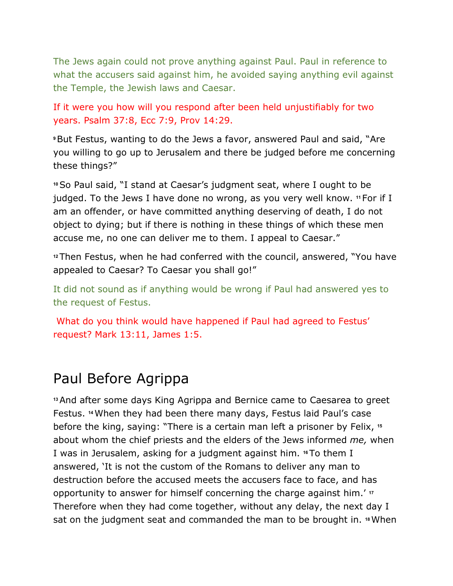The Jews again could not prove anything against Paul. Paul in reference to what the accusers said against him, he avoided saying anything evil against the Temple, the Jewish laws and Caesar.

If it were you how will you respond after been held unjustifiably for two years. Psalm 37:8, Ecc 7:9, Prov 14:29.

**<sup>9</sup>**But Festus, wanting to do the Jews a favor, answered Paul and said, "Are you willing to go up to Jerusalem and there be judged before me concerning these things?"

**<sup>10</sup>**So Paul said, "I stand at Caesar's judgment seat, where I ought to be judged. To the Jews I have done no wrong, as you very well know. **11** For if I am an offender, or have committed anything deserving of death, I do not object to dying; but if there is nothing in these things of which these men accuse me, no one can deliver me to them. I appeal to Caesar."

**<sup>12</sup>**Then Festus, when he had conferred with the council, answered, "You have appealed to Caesar? To Caesar you shall go!"

It did not sound as if anything would be wrong if Paul had answered yes to the request of Festus.

 What do you think would have happened if Paul had agreed to Festus' request? Mark 13:11, James 1:5.

## Paul Before Agrippa

**<sup>13</sup>**And after some days King Agrippa and Bernice came to Caesarea to greet Festus. **14** When they had been there many days, Festus laid Paul's case before the king, saying: "There is a certain man left a prisoner by Felix, **<sup>15</sup>** about whom the chief priests and the elders of the Jews informed *me,* when I was in Jerusalem, asking for a judgment against him. **<sup>16</sup>**To them I answered, 'It is not the custom of the Romans to deliver any man to destruction before the accused meets the accusers face to face, and has opportunity to answer for himself concerning the charge against him.' **<sup>17</sup>** Therefore when they had come together, without any delay, the next day I sat on the judgment seat and commanded the man to be brought in. **18** When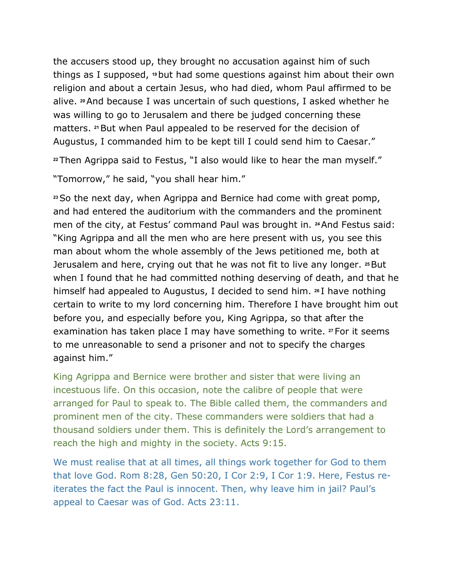the accusers stood up, they brought no accusation against him of such things as I supposed, **19** but had some questions against him about their own religion and about a certain Jesus, who had died, whom Paul affirmed to be alive. **20** And because I was uncertain of such questions, I asked whether he was willing to go to Jerusalem and there be judged concerning these matters. **21** But when Paul appealed to be reserved for the decision of Augustus, I commanded him to be kept till I could send him to Caesar."

**<sup>22</sup>**Then Agrippa said to Festus, "I also would like to hear the man myself."

"Tomorrow," he said, "you shall hear him."

**<sup>23</sup>**So the next day, when Agrippa and Bernice had come with great pomp, and had entered the auditorium with the commanders and the prominent men of the city, at Festus' command Paul was brought in. **<sup>24</sup>**And Festus said: "King Agrippa and all the men who are here present with us, you see this man about whom the whole assembly of the Jews petitioned me, both at Jerusalem and here, crying out that he was not fit to live any longer. **25** But when I found that he had committed nothing deserving of death, and that he himself had appealed to Augustus, I decided to send him. **<sup>26</sup>**I have nothing certain to write to my lord concerning him. Therefore I have brought him out before you, and especially before you, King Agrippa, so that after the examination has taken place I may have something to write. **27** For it seems to me unreasonable to send a prisoner and not to specify the charges against him."

King Agrippa and Bernice were brother and sister that were living an incestuous life. On this occasion, note the calibre of people that were arranged for Paul to speak to. The Bible called them, the commanders and prominent men of the city. These commanders were soldiers that had a thousand soldiers under them. This is definitely the Lord's arrangement to reach the high and mighty in the society. Acts 9:15.

We must realise that at all times, all things work together for God to them that love God. Rom 8:28, Gen 50:20, I Cor 2:9, I Cor 1:9. Here, Festus reiterates the fact the Paul is innocent. Then, why leave him in jail? Paul's appeal to Caesar was of God. Acts 23:11.